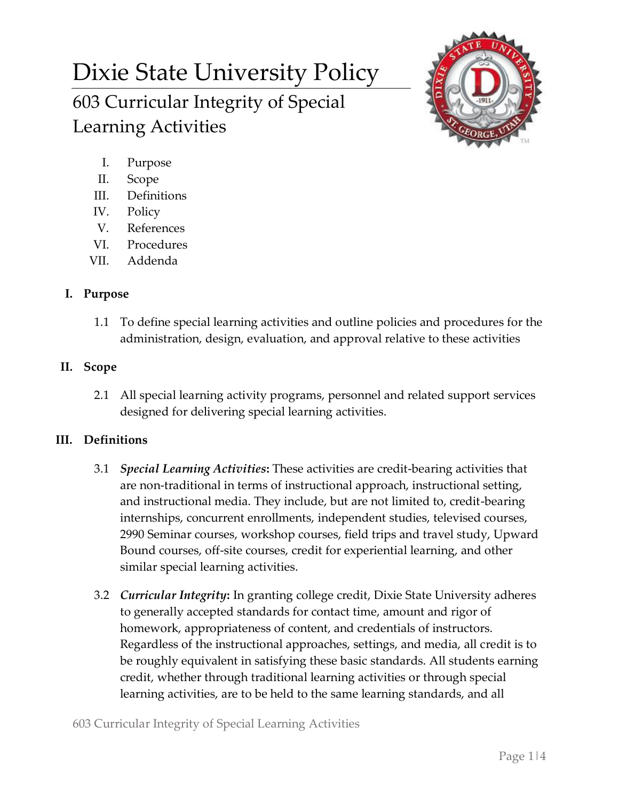# Dixie State University Policy 603 Curricular Integrity of Special Learning Activities



- I. Purpose
- II. Scope
- III. Definitions
- IV. Policy
- V. References
- VI. Procedures
- VII. Addenda

# **I. Purpose**

1.1 To define special learning activities and outline policies and procedures for the administration, design, evaluation, and approval relative to these activities

## **II. Scope**

2.1 All special learning activity programs, personnel and related support services designed for delivering special learning activities.

## **III. Definitions**

- 3.1 *Special Learning Activities***:** These activities are credit-bearing activities that are non-traditional in terms of instructional approach, instructional setting, and instructional media. They include, but are not limited to, credit-bearing internships, concurrent enrollments, independent studies, televised courses, 2990 Seminar courses, workshop courses, field trips and travel study, Upward Bound courses, off-site courses, credit for experiential learning, and other similar special learning activities.
- 3.2 *Curricular Integrity***:** In granting college credit, Dixie State University adheres to generally accepted standards for contact time, amount and rigor of homework, appropriateness of content, and credentials of instructors. Regardless of the instructional approaches, settings, and media, all credit is to be roughly equivalent in satisfying these basic standards. All students earning credit, whether through traditional learning activities or through special learning activities, are to be held to the same learning standards, and all

603 Curricular Integrity of Special Learning Activities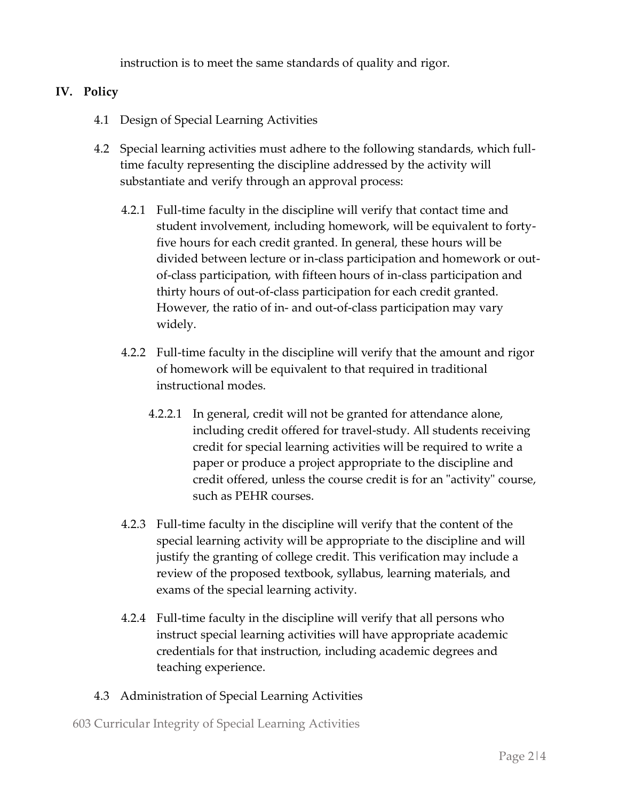instruction is to meet the same standards of quality and rigor.

### **IV. Policy**

- 4.1 Design of Special Learning Activities
- 4.2 Special learning activities must adhere to the following standards, which fulltime faculty representing the discipline addressed by the activity will substantiate and verify through an approval process:
	- 4.2.1 Full-time faculty in the discipline will verify that contact time and student involvement, including homework, will be equivalent to fortyfive hours for each credit granted. In general, these hours will be divided between lecture or in-class participation and homework or outof-class participation, with fifteen hours of in-class participation and thirty hours of out-of-class participation for each credit granted. However, the ratio of in- and out-of-class participation may vary widely.
	- 4.2.2 Full-time faculty in the discipline will verify that the amount and rigor of homework will be equivalent to that required in traditional instructional modes.
		- 4.2.2.1 In general, credit will not be granted for attendance alone, including credit offered for travel-study. All students receiving credit for special learning activities will be required to write a paper or produce a project appropriate to the discipline and credit offered, unless the course credit is for an "activity" course, such as PEHR courses.
	- 4.2.3 Full-time faculty in the discipline will verify that the content of the special learning activity will be appropriate to the discipline and will justify the granting of college credit. This verification may include a review of the proposed textbook, syllabus, learning materials, and exams of the special learning activity.
	- 4.2.4 Full-time faculty in the discipline will verify that all persons who instruct special learning activities will have appropriate academic credentials for that instruction, including academic degrees and teaching experience.
- 4.3 Administration of Special Learning Activities

603 Curricular Integrity of Special Learning Activities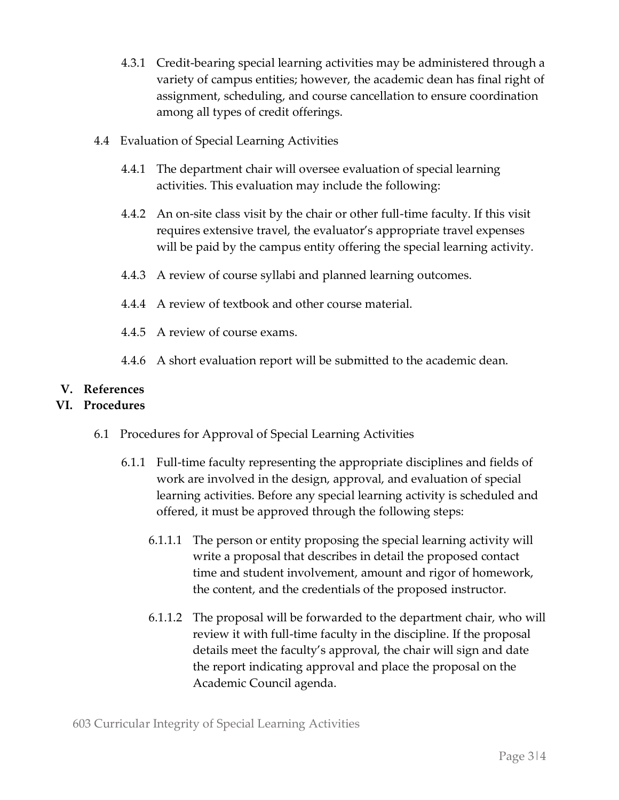- 4.3.1 Credit-bearing special learning activities may be administered through a variety of campus entities; however, the academic dean has final right of assignment, scheduling, and course cancellation to ensure coordination among all types of credit offerings.
- 4.4 Evaluation of Special Learning Activities
	- 4.4.1 The department chair will oversee evaluation of special learning activities. This evaluation may include the following:
	- 4.4.2 An on-site class visit by the chair or other full-time faculty. If this visit requires extensive travel, the evaluator's appropriate travel expenses will be paid by the campus entity offering the special learning activity.
	- 4.4.3 A review of course syllabi and planned learning outcomes.
	- 4.4.4 A review of textbook and other course material.
	- 4.4.5 A review of course exams.
	- 4.4.6 A short evaluation report will be submitted to the academic dean.

#### **V. References**

#### **VI. Procedures**

- 6.1 Procedures for Approval of Special Learning Activities
	- 6.1.1 Full-time faculty representing the appropriate disciplines and fields of work are involved in the design, approval, and evaluation of special learning activities. Before any special learning activity is scheduled and offered, it must be approved through the following steps:
		- 6.1.1.1 The person or entity proposing the special learning activity will write a proposal that describes in detail the proposed contact time and student involvement, amount and rigor of homework, the content, and the credentials of the proposed instructor.
		- 6.1.1.2 The proposal will be forwarded to the department chair, who will review it with full-time faculty in the discipline. If the proposal details meet the faculty's approval, the chair will sign and date the report indicating approval and place the proposal on the Academic Council agenda.